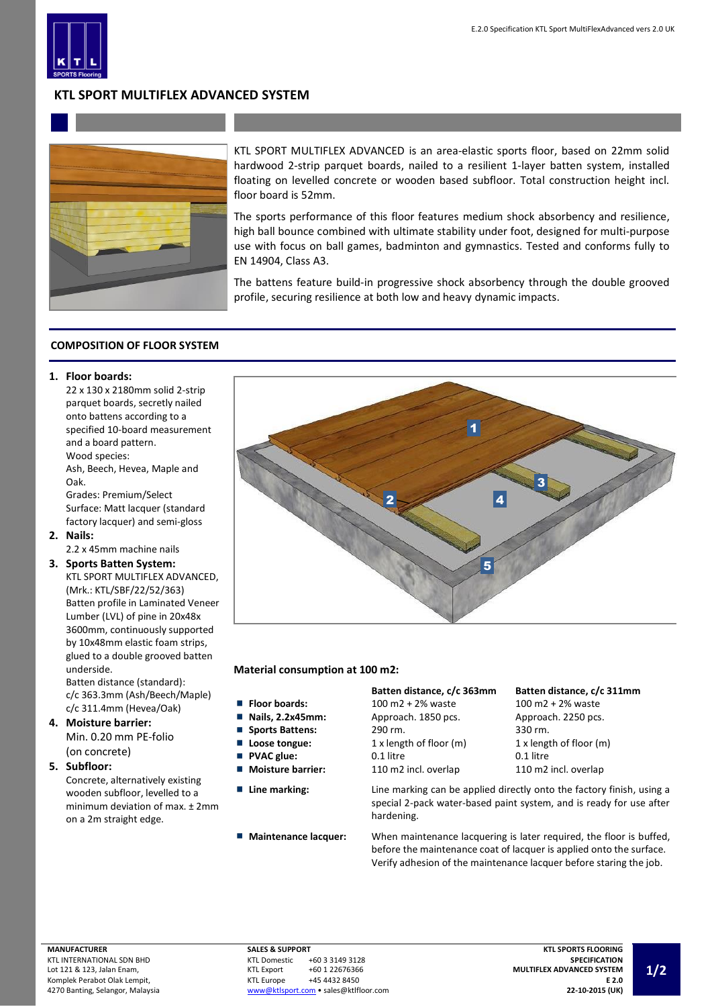

# **KTL SPORT MULTIFLEX ADVANCED SYSTEM**



KTL SPORT MULTIFLEX ADVANCED is an area-elastic sports floor, based on 22mm solid hardwood 2-strip parquet boards, nailed to a resilient 1-layer batten system, installed floating on levelled concrete or wooden based subfloor. Total construction height incl. floor board is 52mm.

The sports performance of this floor features medium shock absorbency and resilience, high ball bounce combined with ultimate stability under foot, designed for multi-purpose use with focus on ball games, badminton and gymnastics. Tested and conforms fully to EN 14904, Class A3.

The battens feature build-in progressive shock absorbency through the double grooved profile, securing resilience at both low and heavy dynamic impacts.

## **COMPOSITION OF FLOOR SYSTEM**

### **1. Floor boards:**

22 x 130 x 2180mm solid 2-strip parquet boards, secretly nailed onto battens according to a specified 10-board measurement and a board pattern. Wood species:

Ash, Beech, Hevea, Maple and Oak.

Grades: Premium/Select Surface: Matt lacquer (standard factory lacquer) and semi-gloss

**2. Nails:**

2.2 x 45mm machine nails

**3. Sports Batten System:** KTL SPORT MULTIFLEX ADVANCED, (Mrk.: KTL/SBF/22/52/363) Batten profile in Laminated Veneer Lumber (LVL) of pine in 20x48x 3600mm, continuously supported by 10x48mm elastic foam strips,

> glued to a double grooved batten underside. Batten distance (standard): c/c 363.3mm (Ash/Beech/Maple)

- c/c 311.4mm (Hevea/Oak) **4. Moisture barrier:**
	- Min. 0.20 mm PE-folio (on concrete)
- **5. Subfloor:**

Concrete, alternatively existing wooden subfloor, levelled to a minimum deviation of max. ± 2mm on a 2m straight edge.



### **Material consumption at 100 m2:**

- 
- П
- ш **Sports Battens:**
- П **PVAC glue:** П
- Ē.
- 
- 

|                                 | Batten distance, c/c 363mm | Batten distance, c/c 3       |  |
|---------------------------------|----------------------------|------------------------------|--|
| ■ Floor boards:                 | 100 m2 + 2% waste          | $100 \text{ m}2 + 2\%$ waste |  |
| $\blacksquare$ Nails, 2.2x45mm: | Approach. 1850 pcs.        | Approach. 2250 pcs.          |  |
| Sports Battens:                 | 290 rm.                    | 330 rm.                      |  |
| ■ Loose tongue:                 | 1 x length of floor (m)    | 1 x length of floor (m)      |  |
| PVAC glue:                      | 0.1 litre                  | 0.1 litre                    |  |
| <b>Noisture barrier:</b>        | 110 m2 incl. overlap       | 110 m2 incl. overlap         |  |

**Line marking:** Line marking can be applied directly onto the factory finish, using a special 2-pack water-based paint system, and is ready for use after hardening.

**Maintenance lacquer:** When maintenance lacquering is later required, the floor is buffed, before the maintenance coat of lacquer is applied onto the surface. Verify adhesion of the maintenance lacquer before staring the job.

**Batten distance, c/c 363mm Batten distance, c/c 311mm**